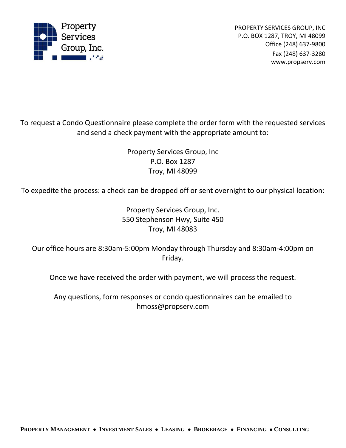

PROPERTY SERVICES GROUP, INC P.O. BOX 1287, TROY, MI 48099 Office (248) 637-9800 Fax (248) 637-3280 www.propserv.com

To request a Condo Questionnaire please complete the order form with the requested services and send a check payment with the appropriate amount to:

> Property Services Group, Inc P.O. Box 1287 Troy, MI 48099

To expedite the process: a check can be dropped off or sent overnight to our physical location:

Property Services Group, Inc. 550 Stephenson Hwy, Suite 450 Troy, MI 48083

Our office hours are 8:30am-5:00pm Monday through Thursday and 8:30am-4:00pm on Friday.

Once we have received the order with payment, we will process the request.

Any questions, form responses or condo questionnaires can be emailed to hmoss@propserv.com